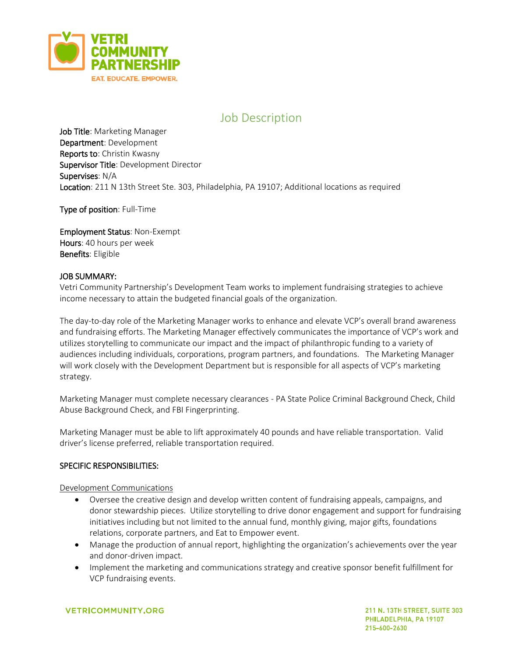

# Job Description

Job Title: Marketing Manager Department: Development Reports to: Christin Kwasny Supervisor Title: Development Director Supervises: N/A Location: 211 N 13th Street Ste. 303, Philadelphia, PA 19107; Additional locations as required

Type of position: Full-Time

Employment Status: Non-Exempt Hours: 40 hours per week Benefits: Eligible

#### JOB SUMMARY:

Vetri Community Partnership's Development Team works to implement fundraising strategies to achieve income necessary to attain the budgeted financial goals of the organization.

The day-to-day role of the Marketing Manager works to enhance and elevate VCP's overall brand awareness and fundraising efforts. The Marketing Manager effectively communicates the importance of VCP's work and utilizes storytelling to communicate our impact and the impact of philanthropic funding to a variety of audiences including individuals, corporations, program partners, and foundations. The Marketing Manager will work closely with the Development Department but is responsible for all aspects of VCP's marketing strategy.

Marketing Manager must complete necessary clearances - PA State Police Criminal Background Check, Child Abuse Background Check, and FBI Fingerprinting.

Marketing Manager must be able to lift approximately 40 pounds and have reliable transportation. Valid driver's license preferred, reliable transportation required.

## SPECIFIC RESPONSIBILITIES:

Development Communications

- Oversee the creative design and develop written content of fundraising appeals, campaigns, and donor stewardship pieces. Utilize storytelling to drive donor engagement and support for fundraising initiatives including but not limited to the annual fund, monthly giving, major gifts, foundations relations, corporate partners, and Eat to Empower event.
- Manage the production of annual report, highlighting the organization's achievements over the year and donor-driven impact.
- Implement the marketing and communications strategy and creative sponsor benefit fulfillment for VCP fundraising events.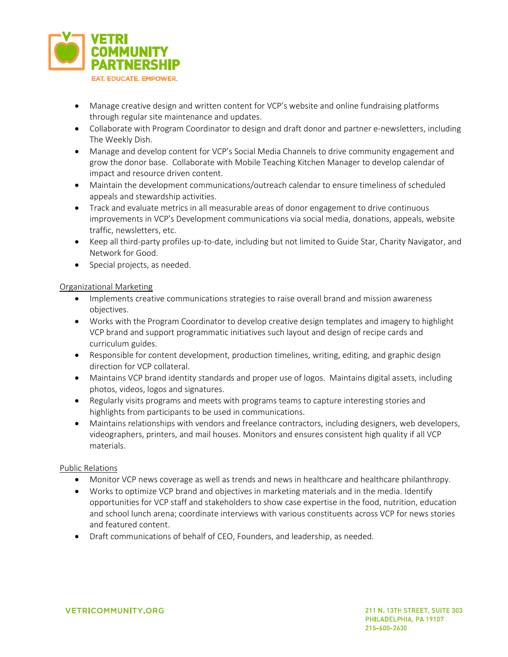

- Manage creative design and written content for VCP's website and online fundraising platforms through regular site maintenance and updates.
- Collaborate with Program Coordinator to design and draft donor and partner e-newsletters, including The Weekly Dish.
- Manage and develop content for VCP's Social Media Channels to drive community engagement and grow the donor base. Collaborate with Mobile Teaching Kitchen Manager to develop calendar of impact and resource driven content.
- Maintain the development communications/outreach calendar to ensure timeliness of scheduled appeals and stewardship activities.
- Track and evaluate metrics in all measurable areas of donor engagement to drive continuous improvements in VCP's Development communications via social media, donations, appeals, website traffic, newsletters, etc.
- Keep all third-party profiles up-to-date, including but not limited to Guide Star, Charity Navigator, and Network for Good.
- Special projects, as needed.

#### Organizational Marketing

- Implements creative communications strategies to raise overall brand and mission awareness objectives.
- Works with the Program Coordinator to develop creative design templates and imagery to highlight VCP brand and support programmatic initiatives such layout and design of recipe cards and curriculum guides.
- Responsible for content development, production timelines, writing, editing, and graphic design direction for VCP collateral.
- Maintains VCP brand identity standards and proper use of logos. Maintains digital assets, including photos, videos, logos and signatures.
- Regularly visits programs and meets with programs teams to capture interesting stories and highlights from participants to be used in communications.
- Maintains relationships with vendors and freelance contractors, including designers, web developers, videographers, printers, and mail houses. Monitors and ensures consistent high quality if all VCP materials.

#### Public Relations

- Monitor VCP news coverage as well as trends and news in healthcare and healthcare philanthropy.
- Works to optimize VCP brand and objectives in marketing materials and in the media. Identify opportunities for VCP staff and stakeholders to show case expertise in the food, nutrition, education and school lunch arena; coordinate interviews with various constituents across VCP for news stories and featured content.
- Draft communications of behalf of CEO, Founders, and leadership, as needed.